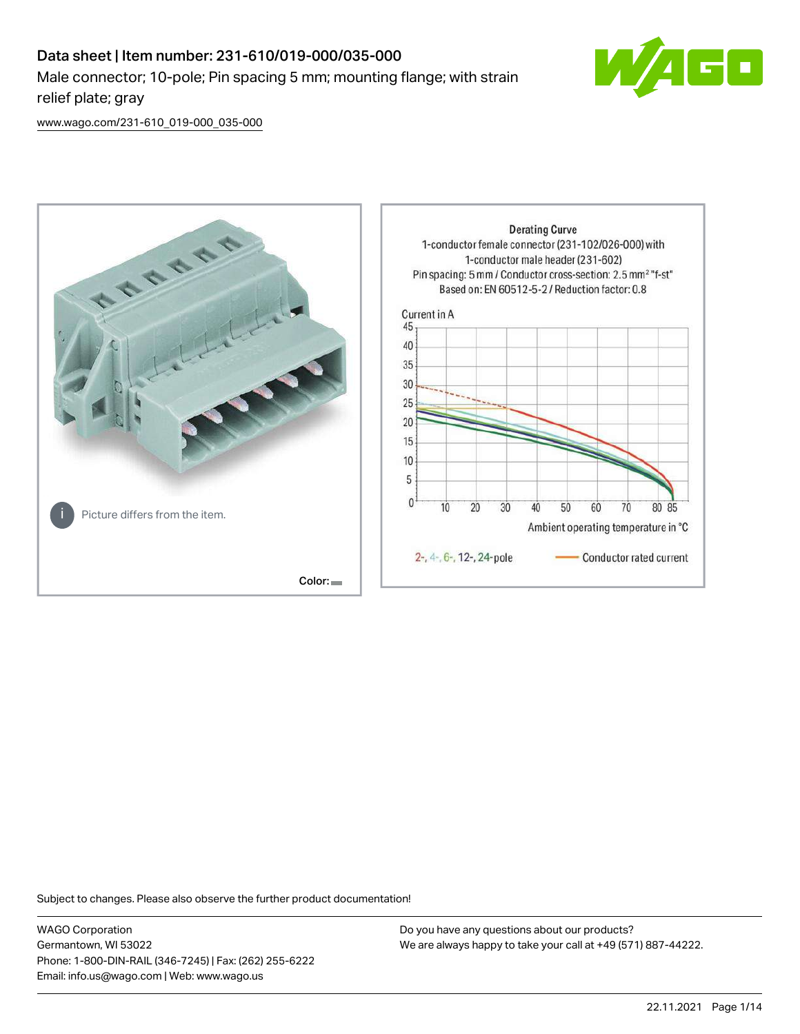## Data sheet | Item number: 231-610/019-000/035-000 Male connector; 10-pole; Pin spacing 5 mm; mounting flange; with strain relief plate; gray



[www.wago.com/231-610\\_019-000\\_035-000](http://www.wago.com/231-610_019-000_035-000)



Subject to changes. Please also observe the further product documentation!

WAGO Corporation Germantown, WI 53022 Phone: 1-800-DIN-RAIL (346-7245) | Fax: (262) 255-6222 Email: info.us@wago.com | Web: www.wago.us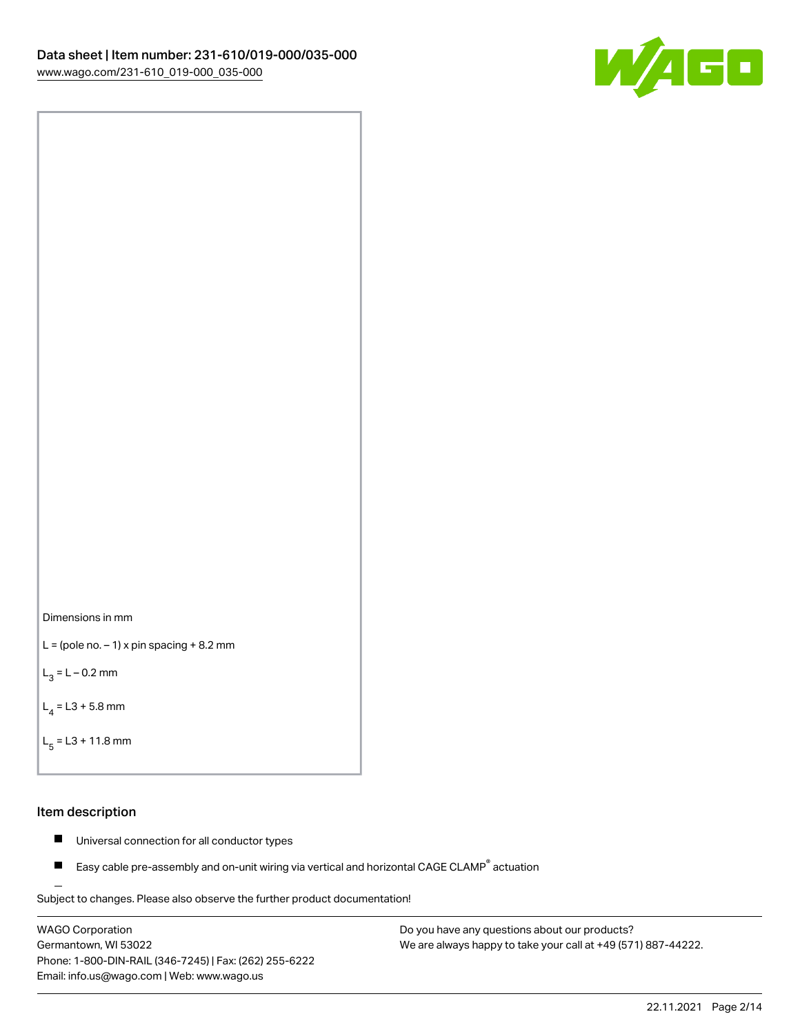



```
L = (pole no. -1) x pin spacing +8.2 mm
```
 $L_3 = L - 0.2$  mm

```
L_4 = L3 + 5.8 mm
```

```
L_{\rm g} = L3 + 11.8 mm
```
## Item description

- $\blacksquare$ Universal connection for all conductor types
- Easy cable pre-assembly and on-unit wiring via vertical and horizontal CAGE CLAMP<sup>®</sup> actuation  $\blacksquare$

Subject to changes. Please also observe the further product documentation! For wire-to-wire and board-to-wire connections

WAGO Corporation Germantown, WI 53022 Phone: 1-800-DIN-RAIL (346-7245) | Fax: (262) 255-6222 Email: info.us@wago.com | Web: www.wago.us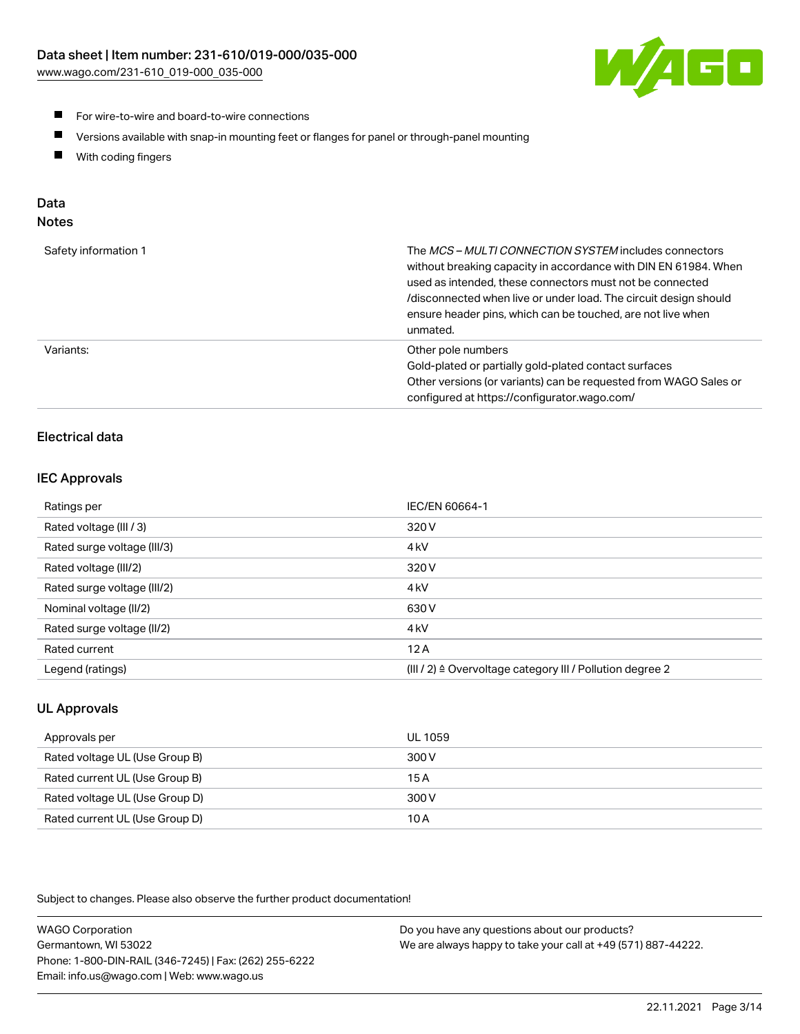[www.wago.com/231-610\\_019-000\\_035-000](http://www.wago.com/231-610_019-000_035-000)



- For wire-to-wire and board-to-wire connections
- $\blacksquare$ Versions available with snap-in mounting feet or flanges for panel or through-panel mounting
- $\blacksquare$ With coding fingers

# Data

| Safety information 1 | The MCS-MULTI CONNECTION SYSTEM includes connectors<br>without breaking capacity in accordance with DIN EN 61984. When<br>used as intended, these connectors must not be connected<br>/disconnected when live or under load. The circuit design should<br>ensure header pins, which can be touched, are not live when<br>unmated. |
|----------------------|-----------------------------------------------------------------------------------------------------------------------------------------------------------------------------------------------------------------------------------------------------------------------------------------------------------------------------------|
| Variants:            | Other pole numbers<br>Gold-plated or partially gold-plated contact surfaces<br>Other versions (or variants) can be requested from WAGO Sales or<br>configured at https://configurator.wago.com/                                                                                                                                   |

## Electrical data

## IEC Approvals

| Ratings per                 | IEC/EN 60664-1                                                        |
|-----------------------------|-----------------------------------------------------------------------|
| Rated voltage (III / 3)     | 320 V                                                                 |
| Rated surge voltage (III/3) | 4 <sub>k</sub> V                                                      |
| Rated voltage (III/2)       | 320 V                                                                 |
| Rated surge voltage (III/2) | 4 <sub>k</sub> V                                                      |
| Nominal voltage (II/2)      | 630 V                                                                 |
| Rated surge voltage (II/2)  | 4 <sub>k</sub> V                                                      |
| Rated current               | 12A                                                                   |
| Legend (ratings)            | $(III / 2)$ $\triangle$ Overvoltage category III / Pollution degree 2 |

## UL Approvals

| Approvals per                  | UL 1059 |
|--------------------------------|---------|
| Rated voltage UL (Use Group B) | 300 V   |
| Rated current UL (Use Group B) | 15 A    |
| Rated voltage UL (Use Group D) | 300 V   |
| Rated current UL (Use Group D) | 10 A    |

Subject to changes. Please also observe the further product documentation!

| <b>WAGO Corporation</b>                                | Do you have any questions about our products?                 |
|--------------------------------------------------------|---------------------------------------------------------------|
| Germantown, WI 53022                                   | We are always happy to take your call at +49 (571) 887-44222. |
| Phone: 1-800-DIN-RAIL (346-7245)   Fax: (262) 255-6222 |                                                               |
| Email: info.us@wago.com   Web: www.wago.us             |                                                               |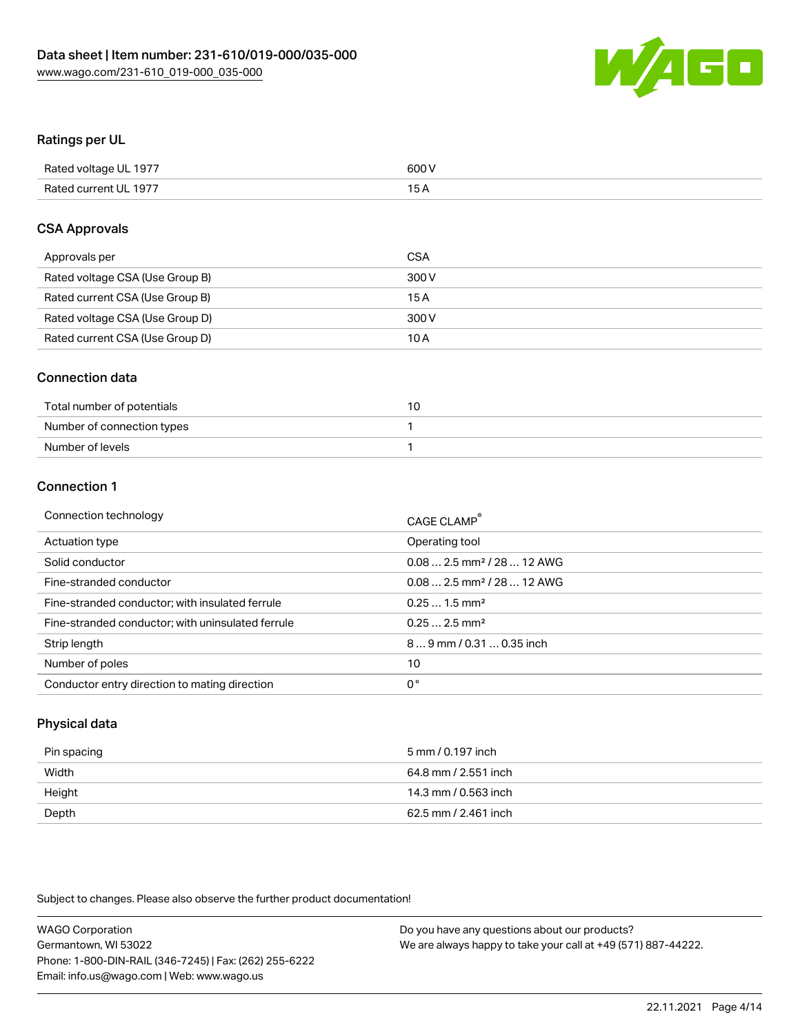

## Ratings per UL

| Rated voltage UL 1977 | 600 V           |
|-----------------------|-----------------|
| Rated current UL 1977 | 15 <sub>A</sub> |

## CSA Approvals

| Approvals per                   | <b>CSA</b> |
|---------------------------------|------------|
| Rated voltage CSA (Use Group B) | 300 V      |
| Rated current CSA (Use Group B) | 15A        |
| Rated voltage CSA (Use Group D) | 300 V      |
| Rated current CSA (Use Group D) | 10 A       |

## Connection data

| Total number of potentials |  |
|----------------------------|--|
| Number of connection types |  |
| Number of levels           |  |

## Connection 1

| Operating tool<br>Actuation type<br>$0.082.5$ mm <sup>2</sup> / 28  12 AWG<br>Solid conductor<br>Fine-stranded conductor<br>$0.082.5$ mm <sup>2</sup> / 28  12 AWG<br>Fine-stranded conductor; with insulated ferrule<br>$0.251.5$ mm <sup>2</sup><br>$0.252.5$ mm <sup>2</sup><br>Fine-stranded conductor; with uninsulated ferrule<br>$89$ mm $/$ 0.31  0.35 inch<br>Strip length<br>Number of poles<br>10<br>0°<br>Conductor entry direction to mating direction | Connection technology | CAGE CLAMP® |
|---------------------------------------------------------------------------------------------------------------------------------------------------------------------------------------------------------------------------------------------------------------------------------------------------------------------------------------------------------------------------------------------------------------------------------------------------------------------|-----------------------|-------------|
|                                                                                                                                                                                                                                                                                                                                                                                                                                                                     |                       |             |
|                                                                                                                                                                                                                                                                                                                                                                                                                                                                     |                       |             |
|                                                                                                                                                                                                                                                                                                                                                                                                                                                                     |                       |             |
|                                                                                                                                                                                                                                                                                                                                                                                                                                                                     |                       |             |
|                                                                                                                                                                                                                                                                                                                                                                                                                                                                     |                       |             |
|                                                                                                                                                                                                                                                                                                                                                                                                                                                                     |                       |             |
|                                                                                                                                                                                                                                                                                                                                                                                                                                                                     |                       |             |
|                                                                                                                                                                                                                                                                                                                                                                                                                                                                     |                       |             |

## Physical data

| Pin spacing | 5 mm / 0.197 inch    |
|-------------|----------------------|
| Width       | 64.8 mm / 2.551 inch |
| Height      | 14.3 mm / 0.563 inch |
| Depth       | 62.5 mm / 2.461 inch |

Subject to changes. Please also observe the further product documentation!

| <b>WAGO Corporation</b>                                | Do you have any questions about our products?                 |
|--------------------------------------------------------|---------------------------------------------------------------|
| Germantown, WI 53022                                   | We are always happy to take your call at +49 (571) 887-44222. |
| Phone: 1-800-DIN-RAIL (346-7245)   Fax: (262) 255-6222 |                                                               |
| Email: info.us@wago.com   Web: www.wago.us             |                                                               |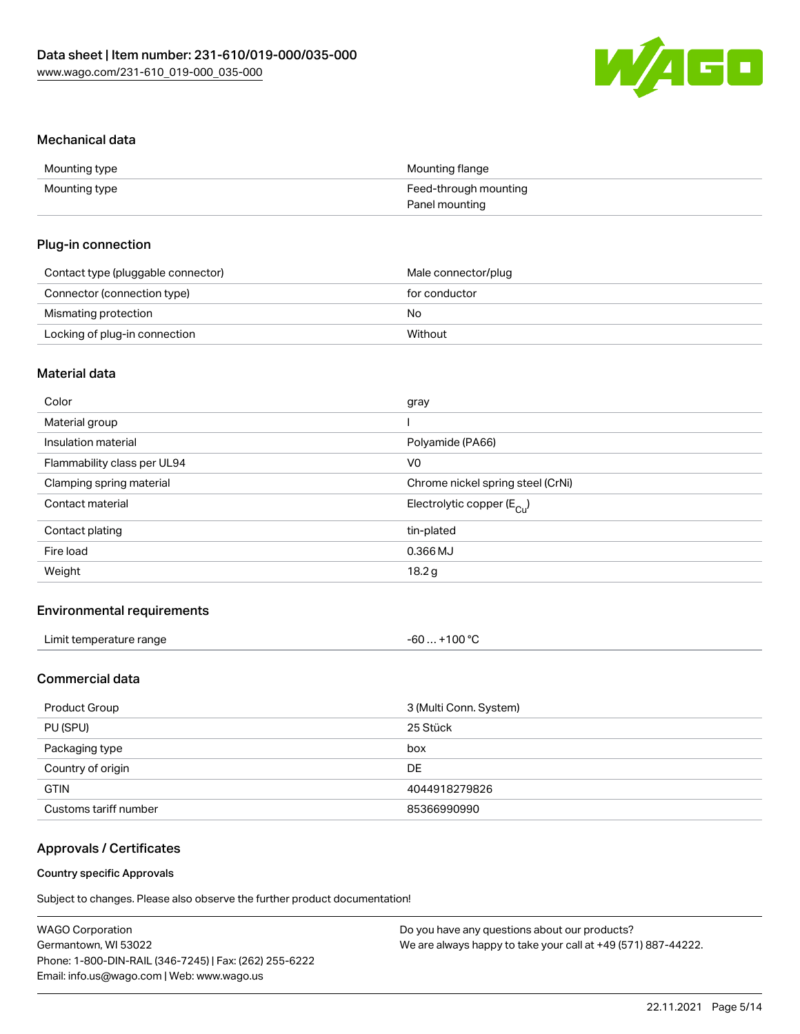

### Mechanical data

| Mounting type | Mounting flange       |
|---------------|-----------------------|
| Mounting type | Feed-through mounting |
|               | Panel mounting        |

## Plug-in connection

| Contact type (pluggable connector) | Male connector/plug |  |
|------------------------------------|---------------------|--|
| Connector (connection type)        | for conductor       |  |
| Mismating protection               | No.                 |  |
| Locking of plug-in connection      | Without             |  |

## Material data

| Color                       | gray                                  |
|-----------------------------|---------------------------------------|
| Material group              |                                       |
| Insulation material         | Polyamide (PA66)                      |
| Flammability class per UL94 | V0                                    |
| Clamping spring material    | Chrome nickel spring steel (CrNi)     |
| Contact material            | Electrolytic copper $(E_{\text{Cl}})$ |
| Contact plating             | tin-plated                            |
| Fire load                   | 0.366 MJ                              |
| Weight                      | 18.2g                                 |
|                             |                                       |

## Environmental requirements

| Limit temperature range | +100 $^{\circ}$ C<br>-60 |
|-------------------------|--------------------------|
|-------------------------|--------------------------|

## Commercial data

| Product Group         | 3 (Multi Conn. System) |
|-----------------------|------------------------|
| PU (SPU)              | 25 Stück               |
| Packaging type        | box                    |
| Country of origin     | DE                     |
| <b>GTIN</b>           | 4044918279826          |
| Customs tariff number | 85366990990            |

## Approvals / Certificates

#### Country specific Approvals

Subject to changes. Please also observe the further product documentation!

| WAGO Corporation                                       | Do you have any questions about our products?                 |
|--------------------------------------------------------|---------------------------------------------------------------|
| Germantown, WI 53022                                   | We are always happy to take your call at +49 (571) 887-44222. |
| Phone: 1-800-DIN-RAIL (346-7245)   Fax: (262) 255-6222 |                                                               |
| Email: info.us@wago.com   Web: www.wago.us             |                                                               |
|                                                        |                                                               |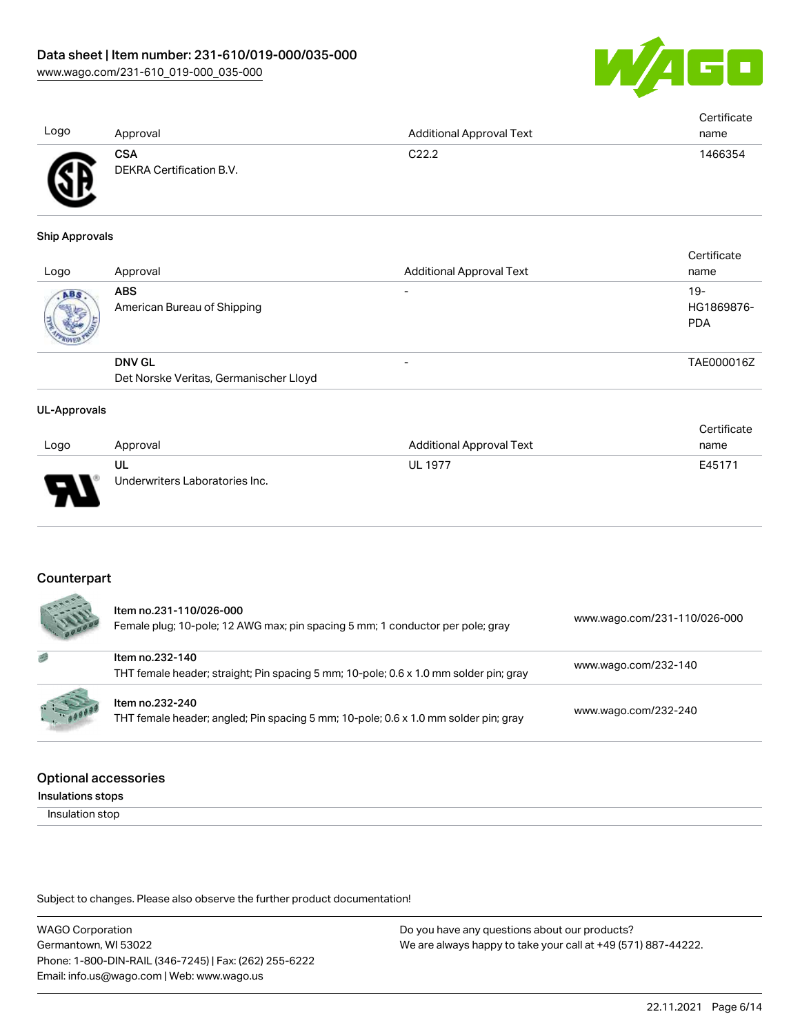

|      |                          |                                 | Certificate |
|------|--------------------------|---------------------------------|-------------|
| Logo | Approval                 | <b>Additional Approval Text</b> | name        |
|      | <b>CSA</b>               | C22.2                           | 1466354     |
| ÆF   | DEKRA Certification B.V. |                                 |             |
|      |                          |                                 |             |

#### Ship Approvals

w

| Logo | Approval                                  | <b>Additional Approval Text</b> | Certificate<br>name               |
|------|-------------------------------------------|---------------------------------|-----------------------------------|
| ABS. | <b>ABS</b><br>American Bureau of Shipping |                                 | $19-$<br>HG1869876-<br><b>PDA</b> |
|      | <b>DNV GL</b>                             |                                 | TAE000016Z                        |
|      | Det Norske Veritas, Germanischer Lloyd    |                                 |                                   |

#### UL-Approvals

| Logo | Approval                             | Additional Approval Text | Certificate<br>name |
|------|--------------------------------------|--------------------------|---------------------|
| L    | UL<br>Underwriters Laboratories Inc. | <b>UL 1977</b>           | E45171              |
|      |                                      |                          |                     |

#### **Counterpart**

|         | Item no.231-110/026-000<br>Female plug; 10-pole; 12 AWG max; pin spacing 5 mm; 1 conductor per pole; gray | www.wago.com/231-110/026-000 |
|---------|-----------------------------------------------------------------------------------------------------------|------------------------------|
| 感       | Item no.232-140<br>THT female header; straight; Pin spacing 5 mm; 10-pole; 0.6 x 1.0 mm solder pin; gray  | www.wago.com/232-140         |
| 5.10000 | Item no.232-240<br>THT female header; angled; Pin spacing 5 mm; 10-pole; 0.6 x 1.0 mm solder pin; gray    | www.wago.com/232-240         |

## Optional accessories

Insulations stops

Insulation stop

Subject to changes. Please also observe the further product documentation!

WAGO Corporation Germantown, WI 53022 Phone: 1-800-DIN-RAIL (346-7245) | Fax: (262) 255-6222 Email: info.us@wago.com | Web: www.wago.us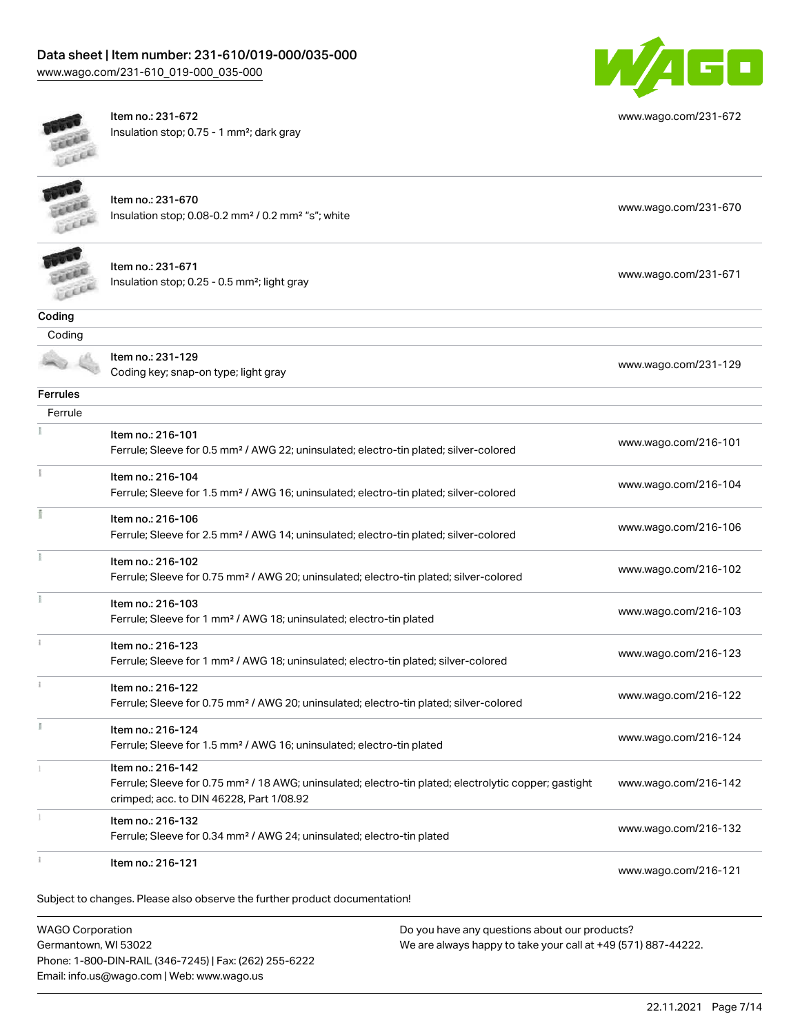## Data sheet | Item number: 231-610/019-000/035-000 [www.wago.com/231-610\\_019-000\\_035-000](http://www.wago.com/231-610_019-000_035-000)



[www.wago.com/231-672](http://www.wago.com/231-672)

[www.wago.com/231-671](http://www.wago.com/231-671)

[www.wago.com/231-129](http://www.wago.com/231-129)

**COLLEGE** Leee Item no.: 231-672 Insulation stop; 0.75 - 1 mm²; dark gray



Item no.: 231-670 Insulation stop; 0.08-0.2 mm² / 0.2 mm² "s"; white [www.wago.com/231-670](http://www.wago.com/231-670) www.wago.com/231-670



| Item no.: 231-671                                        |
|----------------------------------------------------------|
| Insulation stop; $0.25 - 0.5$ mm <sup>2</sup> ; light gr |

| Insulation stop; $0.25 - 0.5$ mm <sup>2</sup> ; light gray |
|------------------------------------------------------------|
|                                                            |

| Coding |                                                           |
|--------|-----------------------------------------------------------|
| Coding |                                                           |
|        | Item no.: 231-129<br>Coding key; snap-on type; light gray |

**Ferrules** 

| Item no.: 216-101                                                                                  |                                                                                                                                                                                                                                                                                               |
|----------------------------------------------------------------------------------------------------|-----------------------------------------------------------------------------------------------------------------------------------------------------------------------------------------------------------------------------------------------------------------------------------------------|
| Ferrule; Sleeve for 0.5 mm <sup>2</sup> / AWG 22; uninsulated; electro-tin plated; silver-colored  | www.wago.com/216-101                                                                                                                                                                                                                                                                          |
| Item no.: 216-104                                                                                  | www.wago.com/216-104                                                                                                                                                                                                                                                                          |
| Ferrule; Sleeve for 1.5 mm <sup>2</sup> / AWG 16; uninsulated; electro-tin plated; silver-colored  |                                                                                                                                                                                                                                                                                               |
| Item no.: 216-106                                                                                  | www.wago.com/216-106                                                                                                                                                                                                                                                                          |
| Ferrule; Sleeve for 2.5 mm <sup>2</sup> / AWG 14; uninsulated; electro-tin plated; silver-colored  |                                                                                                                                                                                                                                                                                               |
| Item no.: 216-102                                                                                  |                                                                                                                                                                                                                                                                                               |
| Ferrule; Sleeve for 0.75 mm <sup>2</sup> / AWG 20; uninsulated; electro-tin plated; silver-colored | www.wago.com/216-102                                                                                                                                                                                                                                                                          |
| Item no.: 216-103                                                                                  |                                                                                                                                                                                                                                                                                               |
| Ferrule; Sleeve for 1 mm <sup>2</sup> / AWG 18; uninsulated; electro-tin plated                    | www.wago.com/216-103                                                                                                                                                                                                                                                                          |
| Item no.: 216-123                                                                                  |                                                                                                                                                                                                                                                                                               |
| Ferrule; Sleeve for 1 mm <sup>2</sup> / AWG 18; uninsulated; electro-tin plated; silver-colored    | www.wago.com/216-123                                                                                                                                                                                                                                                                          |
| Item no.: 216-122                                                                                  |                                                                                                                                                                                                                                                                                               |
| Ferrule; Sleeve for 0.75 mm <sup>2</sup> / AWG 20; uninsulated; electro-tin plated; silver-colored | www.wago.com/216-122                                                                                                                                                                                                                                                                          |
| Item no.: 216-124                                                                                  |                                                                                                                                                                                                                                                                                               |
| Ferrule; Sleeve for 1.5 mm <sup>2</sup> / AWG 16; uninsulated; electro-tin plated                  | www.wago.com/216-124                                                                                                                                                                                                                                                                          |
| Item no.: 216-142                                                                                  |                                                                                                                                                                                                                                                                                               |
|                                                                                                    | www.wago.com/216-142                                                                                                                                                                                                                                                                          |
|                                                                                                    |                                                                                                                                                                                                                                                                                               |
|                                                                                                    | www.wago.com/216-132                                                                                                                                                                                                                                                                          |
|                                                                                                    |                                                                                                                                                                                                                                                                                               |
|                                                                                                    | www.wago.com/216-121                                                                                                                                                                                                                                                                          |
|                                                                                                    |                                                                                                                                                                                                                                                                                               |
|                                                                                                    | Ferrule; Sleeve for 0.75 mm <sup>2</sup> / 18 AWG; uninsulated; electro-tin plated; electrolytic copper; gastight<br>crimped; acc. to DIN 46228, Part 1/08.92<br>Item no.: 216-132<br>Ferrule; Sleeve for 0.34 mm <sup>2</sup> / AWG 24; uninsulated; electro-tin plated<br>Item no.: 216-121 |

WAGO Corporation Germantown, WI 53022 Phone: 1-800-DIN-RAIL (346-7245) | Fax: (262) 255-6222 Email: info.us@wago.com | Web: www.wago.us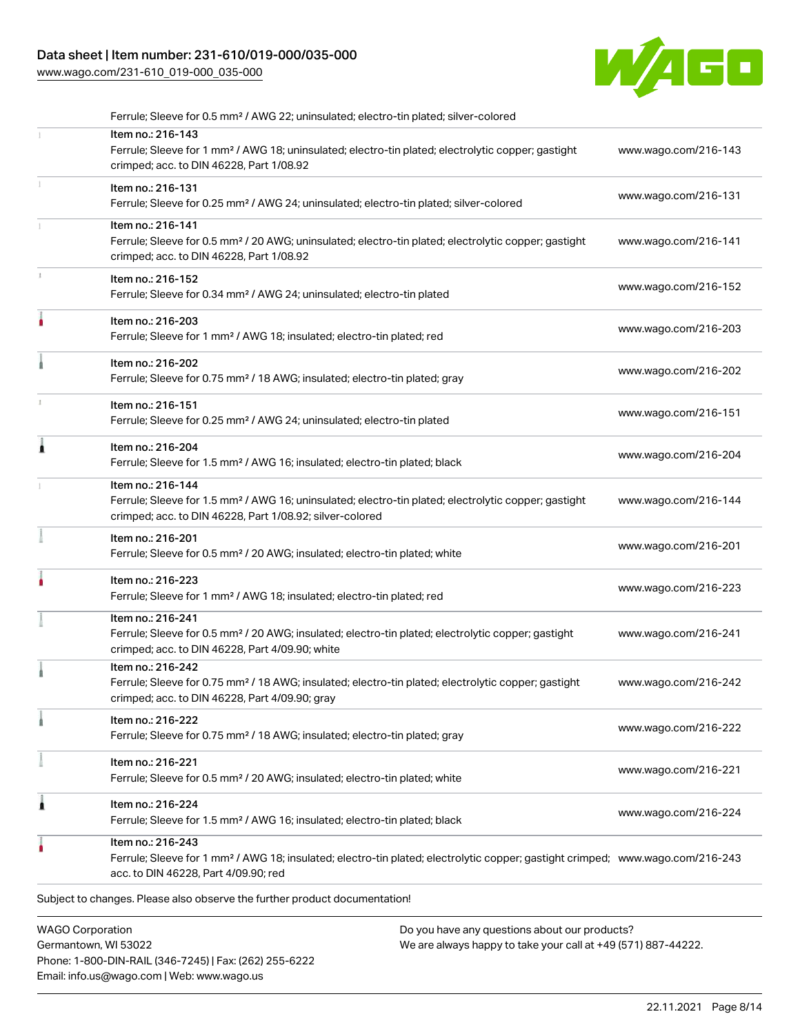[www.wago.com/231-610\\_019-000\\_035-000](http://www.wago.com/231-610_019-000_035-000)



|   | Ferrule; Sleeve for 0.5 mm <sup>2</sup> / AWG 22; uninsulated; electro-tin plated; silver-colored                                                                                                       |                                               |                      |
|---|---------------------------------------------------------------------------------------------------------------------------------------------------------------------------------------------------------|-----------------------------------------------|----------------------|
|   | Item no.: 216-143<br>Ferrule; Sleeve for 1 mm <sup>2</sup> / AWG 18; uninsulated; electro-tin plated; electrolytic copper; gastight<br>crimped; acc. to DIN 46228, Part 1/08.92                         |                                               | www.wago.com/216-143 |
|   | Item no.: 216-131<br>Ferrule; Sleeve for 0.25 mm <sup>2</sup> / AWG 24; uninsulated; electro-tin plated; silver-colored                                                                                 |                                               | www.wago.com/216-131 |
|   | Item no.: 216-141<br>Ferrule; Sleeve for 0.5 mm <sup>2</sup> / 20 AWG; uninsulated; electro-tin plated; electrolytic copper; gastight<br>crimped; acc. to DIN 46228, Part 1/08.92                       |                                               | www.wago.com/216-141 |
|   | Item no.: 216-152<br>Ferrule; Sleeve for 0.34 mm <sup>2</sup> / AWG 24; uninsulated; electro-tin plated                                                                                                 |                                               | www.wago.com/216-152 |
|   | Item no.: 216-203<br>Ferrule; Sleeve for 1 mm <sup>2</sup> / AWG 18; insulated; electro-tin plated; red                                                                                                 |                                               | www.wago.com/216-203 |
|   | Item no.: 216-202<br>Ferrule; Sleeve for 0.75 mm <sup>2</sup> / 18 AWG; insulated; electro-tin plated; gray                                                                                             |                                               | www.wago.com/216-202 |
|   | Item no.: 216-151<br>Ferrule; Sleeve for 0.25 mm <sup>2</sup> / AWG 24; uninsulated; electro-tin plated                                                                                                 |                                               | www.wago.com/216-151 |
| Â | Item no.: 216-204<br>Ferrule; Sleeve for 1.5 mm <sup>2</sup> / AWG 16; insulated; electro-tin plated; black                                                                                             |                                               | www.wago.com/216-204 |
|   | Item no.: 216-144<br>Ferrule; Sleeve for 1.5 mm <sup>2</sup> / AWG 16; uninsulated; electro-tin plated; electrolytic copper; gastight<br>crimped; acc. to DIN 46228, Part 1/08.92; silver-colored       |                                               | www.wago.com/216-144 |
|   | Item no.: 216-201<br>Ferrule; Sleeve for 0.5 mm <sup>2</sup> / 20 AWG; insulated; electro-tin plated; white                                                                                             |                                               | www.wago.com/216-201 |
|   | Item no.: 216-223<br>Ferrule; Sleeve for 1 mm <sup>2</sup> / AWG 18; insulated; electro-tin plated; red                                                                                                 |                                               | www.wago.com/216-223 |
|   | Item no.: 216-241<br>Ferrule; Sleeve for 0.5 mm <sup>2</sup> / 20 AWG; insulated; electro-tin plated; electrolytic copper; gastight<br>crimped; acc. to DIN 46228, Part 4/09.90; white                  |                                               | www.wago.com/216-241 |
|   | Item no.: 216-242<br>Ferrule; Sleeve for 0.75 mm <sup>2</sup> / 18 AWG; insulated; electro-tin plated; electrolytic copper; gastight<br>crimped; acc. to DIN 46228, Part 4/09.90; gray                  |                                               | www.wago.com/216-242 |
|   | Item no.: 216-222<br>Ferrule; Sleeve for 0.75 mm <sup>2</sup> / 18 AWG; insulated; electro-tin plated; gray                                                                                             |                                               | www.wago.com/216-222 |
|   | Item no.: 216-221<br>Ferrule; Sleeve for 0.5 mm <sup>2</sup> / 20 AWG; insulated; electro-tin plated; white                                                                                             |                                               | www.wago.com/216-221 |
| 1 | Item no.: 216-224<br>Ferrule; Sleeve for 1.5 mm <sup>2</sup> / AWG 16; insulated; electro-tin plated; black                                                                                             |                                               | www.wago.com/216-224 |
|   | Item no.: 216-243<br>Ferrule; Sleeve for 1 mm <sup>2</sup> / AWG 18; insulated; electro-tin plated; electrolytic copper; gastight crimped; www.wago.com/216-243<br>acc. to DIN 46228, Part 4/09.90; red |                                               |                      |
|   | Subject to changes. Please also observe the further product documentation!                                                                                                                              |                                               |                      |
|   | <b>WAGO Corporation</b>                                                                                                                                                                                 | Do you have any questions about our products? |                      |
|   |                                                                                                                                                                                                         |                                               |                      |

Germantown, WI 53022 Phone: 1-800-DIN-RAIL (346-7245) | Fax: (262) 255-6222 Email: info.us@wago.com | Web: www.wago.us

We are always happy to take your call at +49 (571) 887-44222.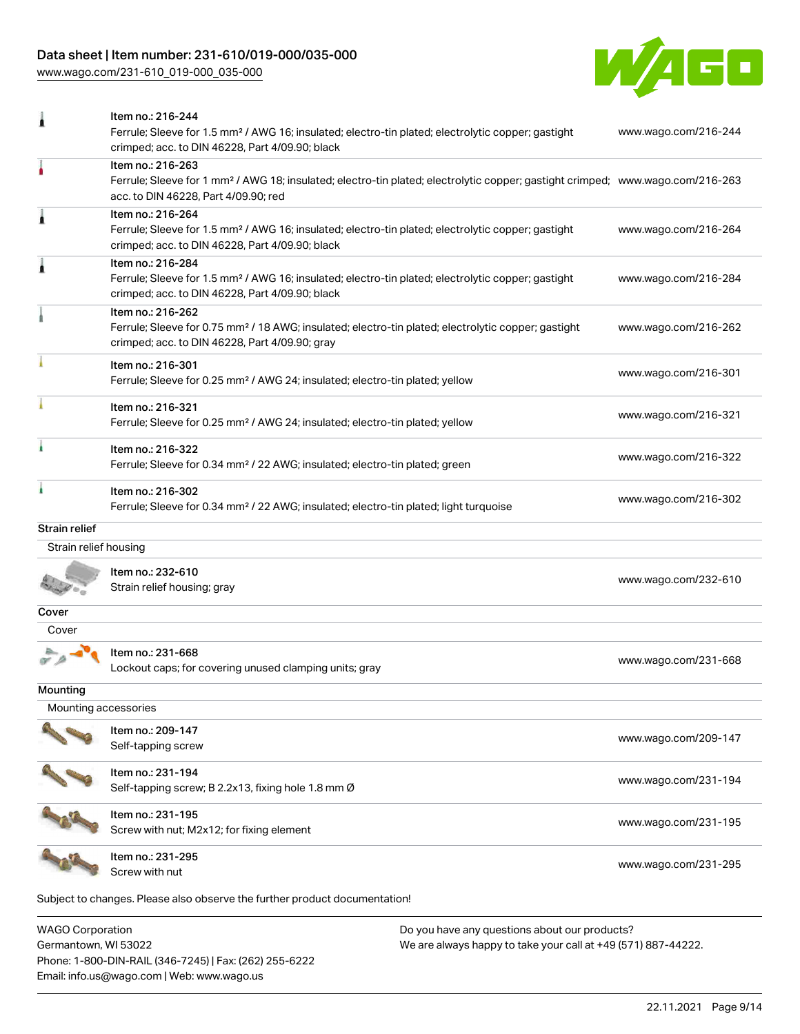[www.wago.com/231-610\\_019-000\\_035-000](http://www.wago.com/231-610_019-000_035-000)



| 1                       | Item no.: 216-244<br>Ferrule; Sleeve for 1.5 mm <sup>2</sup> / AWG 16; insulated; electro-tin plated; electrolytic copper; gastight<br>crimped; acc. to DIN 46228, Part 4/09.90; black                  | www.wago.com/216-244 |
|-------------------------|---------------------------------------------------------------------------------------------------------------------------------------------------------------------------------------------------------|----------------------|
|                         | Item no.: 216-263<br>Ferrule; Sleeve for 1 mm <sup>2</sup> / AWG 18; insulated; electro-tin plated; electrolytic copper; gastight crimped; www.wago.com/216-263<br>acc. to DIN 46228, Part 4/09.90; red |                      |
| Â                       | Item no.: 216-264<br>Ferrule; Sleeve for 1.5 mm <sup>2</sup> / AWG 16; insulated; electro-tin plated; electrolytic copper; gastight<br>crimped; acc. to DIN 46228, Part 4/09.90; black                  | www.wago.com/216-264 |
| Ă                       | Item no.: 216-284<br>Ferrule; Sleeve for 1.5 mm <sup>2</sup> / AWG 16; insulated; electro-tin plated; electrolytic copper; gastight<br>crimped; acc. to DIN 46228, Part 4/09.90; black                  | www.wago.com/216-284 |
|                         | Item no.: 216-262<br>Ferrule; Sleeve for 0.75 mm <sup>2</sup> / 18 AWG; insulated; electro-tin plated; electrolytic copper; gastight<br>crimped; acc. to DIN 46228, Part 4/09.90; gray                  | www.wago.com/216-262 |
|                         | Item no.: 216-301<br>Ferrule; Sleeve for 0.25 mm <sup>2</sup> / AWG 24; insulated; electro-tin plated; yellow                                                                                           | www.wago.com/216-301 |
|                         | Item no.: 216-321<br>Ferrule; Sleeve for 0.25 mm <sup>2</sup> / AWG 24; insulated; electro-tin plated; yellow                                                                                           | www.wago.com/216-321 |
|                         | Item no.: 216-322<br>Ferrule; Sleeve for 0.34 mm <sup>2</sup> / 22 AWG; insulated; electro-tin plated; green                                                                                            | www.wago.com/216-322 |
|                         | Item no.: 216-302<br>Ferrule; Sleeve for 0.34 mm <sup>2</sup> / 22 AWG; insulated; electro-tin plated; light turquoise                                                                                  | www.wago.com/216-302 |
| Strain relief           |                                                                                                                                                                                                         |                      |
| Strain relief housing   |                                                                                                                                                                                                         |                      |
|                         | Item no.: 232-610<br>Strain relief housing; gray                                                                                                                                                        | www.wago.com/232-610 |
| Cover                   |                                                                                                                                                                                                         |                      |
| Cover                   |                                                                                                                                                                                                         |                      |
|                         | Item no.: 231-668<br>Lockout caps; for covering unused clamping units; gray                                                                                                                             | www.wago.com/231-668 |
| Mounting                |                                                                                                                                                                                                         |                      |
| Mounting accessories    |                                                                                                                                                                                                         |                      |
|                         | Item no.: 209-147<br>Self-tapping screw                                                                                                                                                                 | www.wago.com/209-147 |
|                         | Item no.: 231-194<br>Self-tapping screw; B 2.2x13, fixing hole 1.8 mm Ø                                                                                                                                 | www.wago.com/231-194 |
|                         | Item no.: 231-195<br>Screw with nut; M2x12; for fixing element                                                                                                                                          | www.wago.com/231-195 |
|                         | Item no.: 231-295<br>Screw with nut                                                                                                                                                                     | www.wago.com/231-295 |
|                         | Subject to changes. Please also observe the further product documentation!                                                                                                                              |                      |
| <b>WAGO Corporation</b> | Do vou have any questions about our products?                                                                                                                                                           |                      |

WAGO Corporation Germantown, WI 53022 Phone: 1-800-DIN-RAIL (346-7245) | Fax: (262) 255-6222 Email: info.us@wago.com | Web: www.wago.us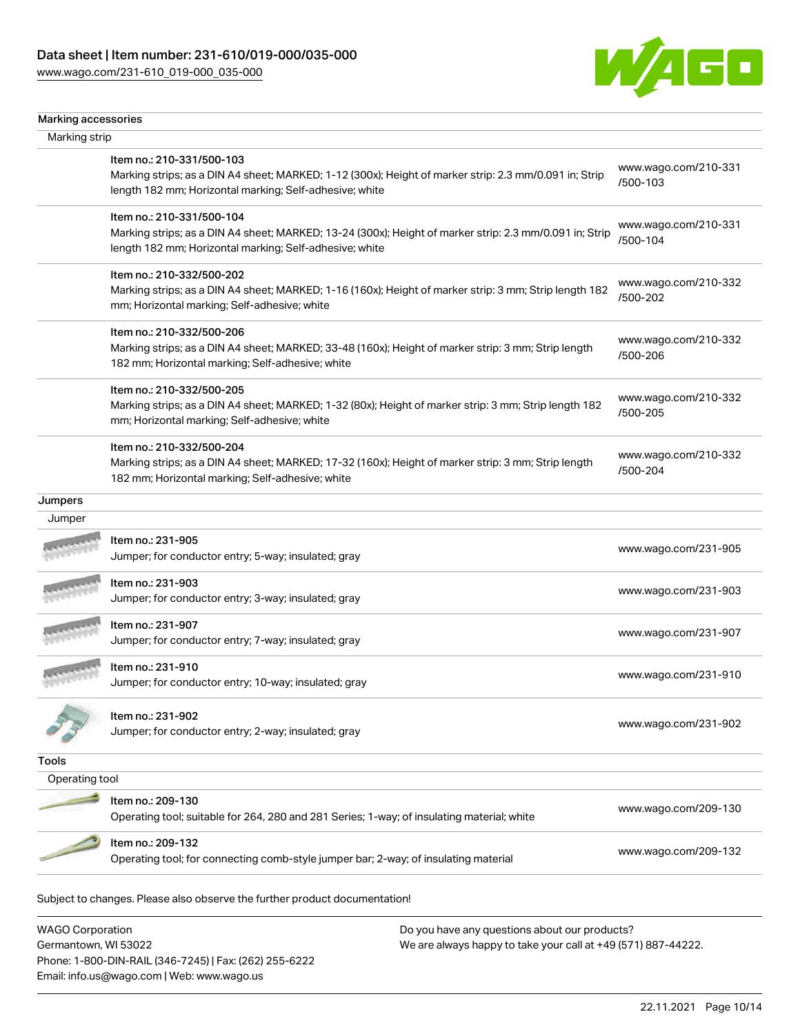[www.wago.com/231-610\\_019-000\\_035-000](http://www.wago.com/231-610_019-000_035-000)



| Marking strip<br>Item no.: 210-331/500-103                                                                                                                                                      |                                  |
|-------------------------------------------------------------------------------------------------------------------------------------------------------------------------------------------------|----------------------------------|
|                                                                                                                                                                                                 |                                  |
| Marking strips; as a DIN A4 sheet; MARKED; 1-12 (300x); Height of marker strip: 2.3 mm/0.091 in; Strip<br>length 182 mm; Horizontal marking; Self-adhesive; white                               | www.wago.com/210-331<br>/500-103 |
| Item no.: 210-331/500-104<br>Marking strips; as a DIN A4 sheet; MARKED; 13-24 (300x); Height of marker strip: 2.3 mm/0.091 in; Strip<br>length 182 mm; Horizontal marking; Self-adhesive; white | www.wago.com/210-331<br>/500-104 |
| Item no.: 210-332/500-202<br>Marking strips; as a DIN A4 sheet; MARKED; 1-16 (160x); Height of marker strip: 3 mm; Strip length 182<br>mm; Horizontal marking; Self-adhesive; white             | www.wago.com/210-332<br>/500-202 |
| Item no.: 210-332/500-206<br>Marking strips; as a DIN A4 sheet; MARKED; 33-48 (160x); Height of marker strip: 3 mm; Strip length<br>182 mm; Horizontal marking; Self-adhesive; white            | www.wago.com/210-332<br>/500-206 |
| Item no.: 210-332/500-205<br>Marking strips; as a DIN A4 sheet; MARKED; 1-32 (80x); Height of marker strip: 3 mm; Strip length 182<br>mm; Horizontal marking; Self-adhesive; white              | www.wago.com/210-332<br>/500-205 |
| Item no.: 210-332/500-204<br>Marking strips; as a DIN A4 sheet; MARKED; 17-32 (160x); Height of marker strip: 3 mm; Strip length<br>182 mm; Horizontal marking; Self-adhesive; white            | www.wago.com/210-332<br>/500-204 |
|                                                                                                                                                                                                 |                                  |
|                                                                                                                                                                                                 |                                  |
| Item no.: 231-905<br>Jumper; for conductor entry; 5-way; insulated; gray                                                                                                                        | www.wago.com/231-905             |
| Item no.: 231-903<br>Jumper; for conductor entry; 3-way; insulated; gray                                                                                                                        | www.wago.com/231-903             |
| Item no.: 231-907<br>Jumper; for conductor entry; 7-way; insulated; gray                                                                                                                        | www.wago.com/231-907             |
| Item no.: 231-910<br>Jumper; for conductor entry; 10-way; insulated; gray                                                                                                                       | www.wago.com/231-910             |
| Item no.: 231-902<br>Jumper; for conductor entry; 2-way; insulated; gray                                                                                                                        | www.wago.com/231-902             |
|                                                                                                                                                                                                 |                                  |
| Operating tool                                                                                                                                                                                  |                                  |
| Item no.: 209-130<br>Operating tool; suitable for 264, 280 and 281 Series; 1-way; of insulating material; white                                                                                 | www.wago.com/209-130             |
| Item no.: 209-132<br>Operating tool; for connecting comb-style jumper bar; 2-way; of insulating material                                                                                        | www.wago.com/209-132             |
|                                                                                                                                                                                                 |                                  |

WAGO Corporation Germantown, WI 53022 Phone: 1-800-DIN-RAIL (346-7245) | Fax: (262) 255-6222 Email: info.us@wago.com | Web: www.wago.us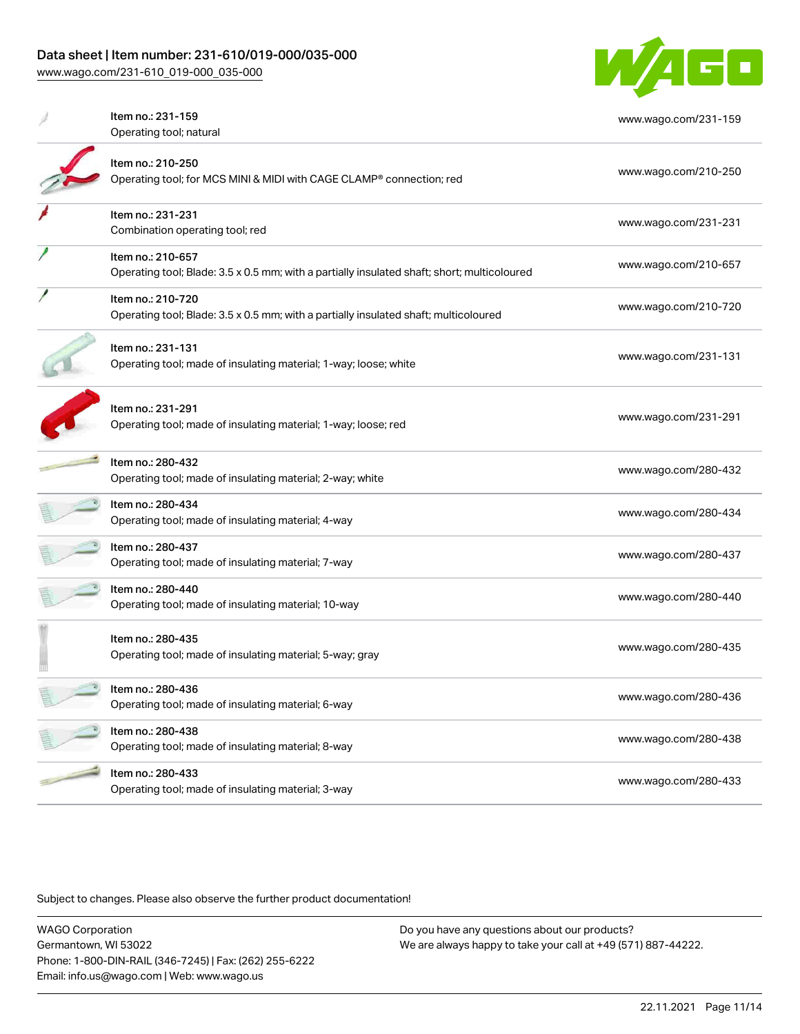[www.wago.com/231-610\\_019-000\\_035-000](http://www.wago.com/231-610_019-000_035-000)



| Item no.: 231-159                                                                           | www.wago.com/231-159 |
|---------------------------------------------------------------------------------------------|----------------------|
| Operating tool; natural                                                                     |                      |
|                                                                                             |                      |
| Item no.: 210-250                                                                           | www.wago.com/210-250 |
| Operating tool; for MCS MINI & MIDI with CAGE CLAMP <sup>®</sup> connection; red            |                      |
| Item no.: 231-231                                                                           |                      |
| Combination operating tool; red                                                             | www.wago.com/231-231 |
| Item no.: 210-657                                                                           |                      |
| Operating tool; Blade: 3.5 x 0.5 mm; with a partially insulated shaft; short; multicoloured | www.wago.com/210-657 |
| Item no.: 210-720                                                                           |                      |
| Operating tool; Blade: 3.5 x 0.5 mm; with a partially insulated shaft; multicoloured        | www.wago.com/210-720 |
| Item no.: 231-131                                                                           |                      |
| Operating tool; made of insulating material; 1-way; loose; white                            | www.wago.com/231-131 |
|                                                                                             |                      |
| Item no.: 231-291                                                                           |                      |
| Operating tool; made of insulating material; 1-way; loose; red                              | www.wago.com/231-291 |
|                                                                                             |                      |
| Item no.: 280-432<br>Operating tool; made of insulating material; 2-way; white              | www.wago.com/280-432 |
|                                                                                             |                      |
| Item no.: 280-434                                                                           | www.wago.com/280-434 |
| Operating tool; made of insulating material; 4-way                                          |                      |
| Item no.: 280-437                                                                           | www.wago.com/280-437 |
| Operating tool; made of insulating material; 7-way                                          |                      |
| Item no.: 280-440                                                                           |                      |
| Operating tool; made of insulating material; 10-way                                         | www.wago.com/280-440 |
| Item no.: 280-435                                                                           |                      |
| Operating tool; made of insulating material; 5-way; gray                                    | www.wago.com/280-435 |
|                                                                                             |                      |
| Item no.: 280-436                                                                           | www.wago.com/280-436 |
| Operating tool; made of insulating material; 6-way                                          |                      |
| Item no.: 280-438                                                                           |                      |
| Operating tool; made of insulating material; 8-way                                          | www.wago.com/280-438 |
| Item no.: 280-433                                                                           |                      |
| Operating tool; made of insulating material; 3-way                                          | www.wago.com/280-433 |
|                                                                                             |                      |

Subject to changes. Please also observe the further product documentation!

WAGO Corporation Germantown, WI 53022 Phone: 1-800-DIN-RAIL (346-7245) | Fax: (262) 255-6222 Email: info.us@wago.com | Web: www.wago.us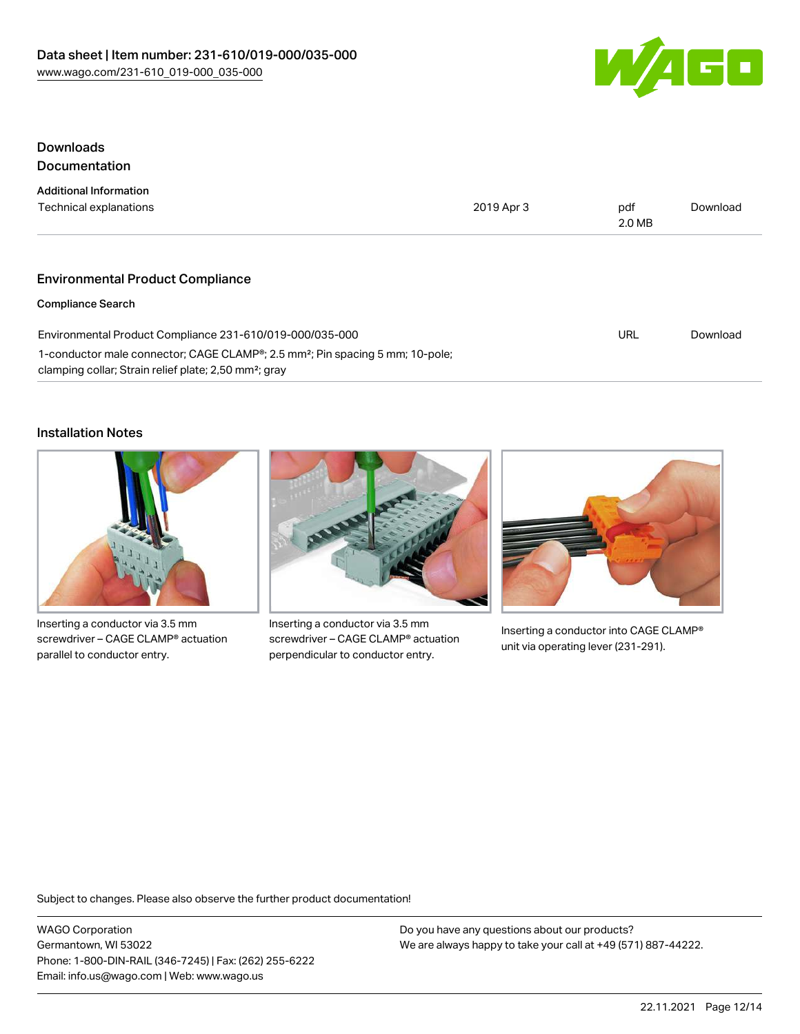

## Downloads **Documentation**

| <b>Additional Information</b>                                                                                                                                  |            |               |          |
|----------------------------------------------------------------------------------------------------------------------------------------------------------------|------------|---------------|----------|
| Technical explanations                                                                                                                                         | 2019 Apr 3 | pdf<br>2.0 MB | Download |
|                                                                                                                                                                |            |               |          |
| <b>Environmental Product Compliance</b>                                                                                                                        |            |               |          |
| <b>Compliance Search</b>                                                                                                                                       |            |               |          |
| Environmental Product Compliance 231-610/019-000/035-000                                                                                                       |            | URL           | Download |
| 1-conductor male connector; CAGE CLAMP®; 2.5 mm <sup>2</sup> ; Pin spacing 5 mm; 10-pole;<br>clamping collar; Strain relief plate; 2,50 mm <sup>2</sup> ; gray |            |               |          |

## Installation Notes



Inserting a conductor via 3.5 mm screwdriver – CAGE CLAMP® actuation parallel to conductor entry.



Inserting a conductor via 3.5 mm screwdriver – CAGE CLAMP® actuation perpendicular to conductor entry.



Inserting a conductor into CAGE CLAMP® unit via operating lever (231-291).

Subject to changes. Please also observe the further product documentation!

WAGO Corporation Germantown, WI 53022 Phone: 1-800-DIN-RAIL (346-7245) | Fax: (262) 255-6222 Email: info.us@wago.com | Web: www.wago.us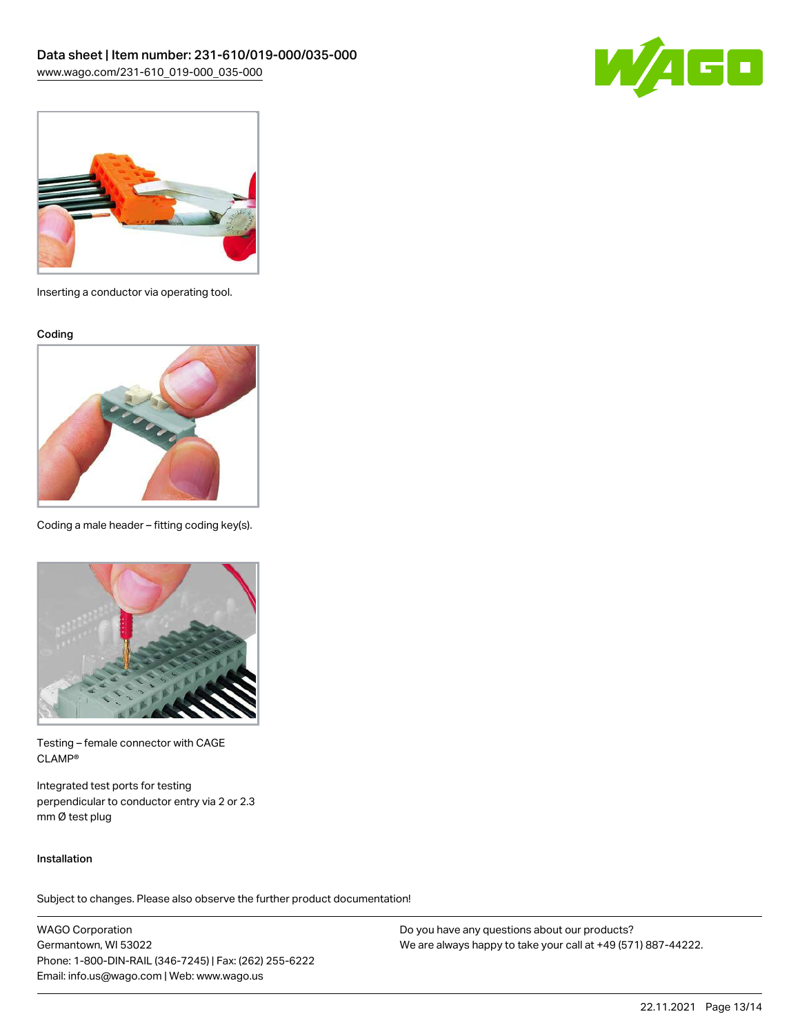



Inserting a conductor via operating tool.

Coding



Coding a male header – fitting coding key(s).



Testing – female connector with CAGE CLAMP®

Integrated test ports for testing perpendicular to conductor entry via 2 or 2.3 mm Ø test plug

#### Installation

Subject to changes. Please also observe the further product documentation!

WAGO Corporation Germantown, WI 53022 Phone: 1-800-DIN-RAIL (346-7245) | Fax: (262) 255-6222 Email: info.us@wago.com | Web: www.wago.us